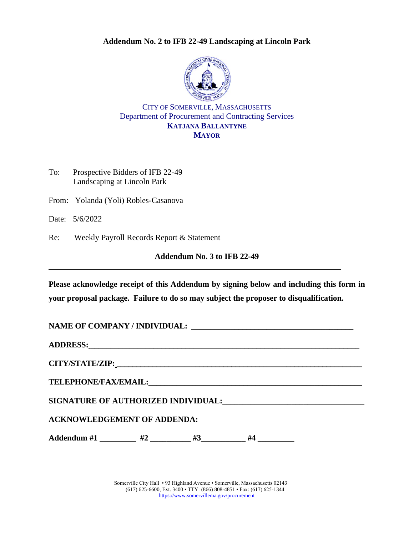#### **Addendum No. 2 to IFB 22-49 Landscaping at Lincoln Park**



CITY OF SOMERVILLE, MASSACHUSETTS Department of Procurement and Contracting Services **KATJANA BALLANTYNE MAYOR**

| To: | Prospective Bidders of IFB 22-49 |
|-----|----------------------------------|
|     | Landscaping at Lincoln Park      |

From: Yolanda (Yoli) Robles-Casanova

Date: 5/6/2022

Re: Weekly Payroll Records Report & Statement

## **Addendum No. 3 to IFB 22-49**

**Please acknowledge receipt of this Addendum by signing below and including this form in your proposal package. Failure to do so may subject the proposer to disqualification.**

| ADDRESS: North Contract of the Contract of the Contract of the Contract of the Contract of the Contract of the Contract of the Contract of the Contract of the Contract of the Contract of the Contract of the Contract of the |  |  |  |  |  |  |  |
|--------------------------------------------------------------------------------------------------------------------------------------------------------------------------------------------------------------------------------|--|--|--|--|--|--|--|
|                                                                                                                                                                                                                                |  |  |  |  |  |  |  |
|                                                                                                                                                                                                                                |  |  |  |  |  |  |  |
|                                                                                                                                                                                                                                |  |  |  |  |  |  |  |
| <b>ACKNOWLEDGEMENT OF ADDENDA:</b>                                                                                                                                                                                             |  |  |  |  |  |  |  |
| Addendum #1 ________ #2 ________ #3 _______ #4 ________                                                                                                                                                                        |  |  |  |  |  |  |  |

Somerville City Hall • 93 Highland Avenue • Somerville, Massachusetts 02143 (617) 625-6600, Ext. 3400 • TTY: (866) 808-4851 • Fax: (617) 625-1344 <https://www.somervillema.gov/procurement>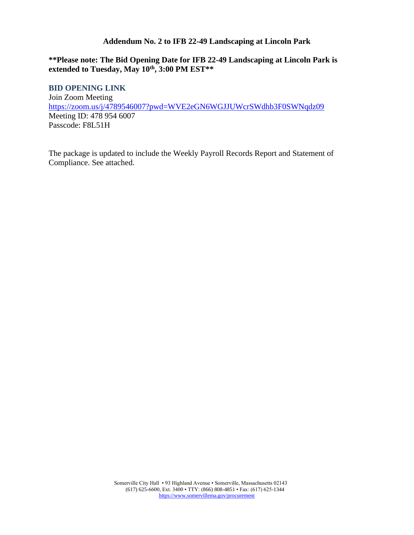#### **Addendum No. 2 to IFB 22-49 Landscaping at Lincoln Park**

## **\*\*Please note: The Bid Opening Date for IFB 22-49 Landscaping at Lincoln Park is extended to Tuesday, May 10th, 3:00 PM EST\*\***

#### **BID OPENING LINK**

Join Zoom Meeting <https://zoom.us/j/4789546007?pwd=WVE2eGN6WGJJUWcrSWdhb3F0SWNqdz09> Meeting ID: 478 954 6007 Passcode: F8L51H

The package is updated to include the Weekly Payroll Records Report and Statement of Compliance. See attached.